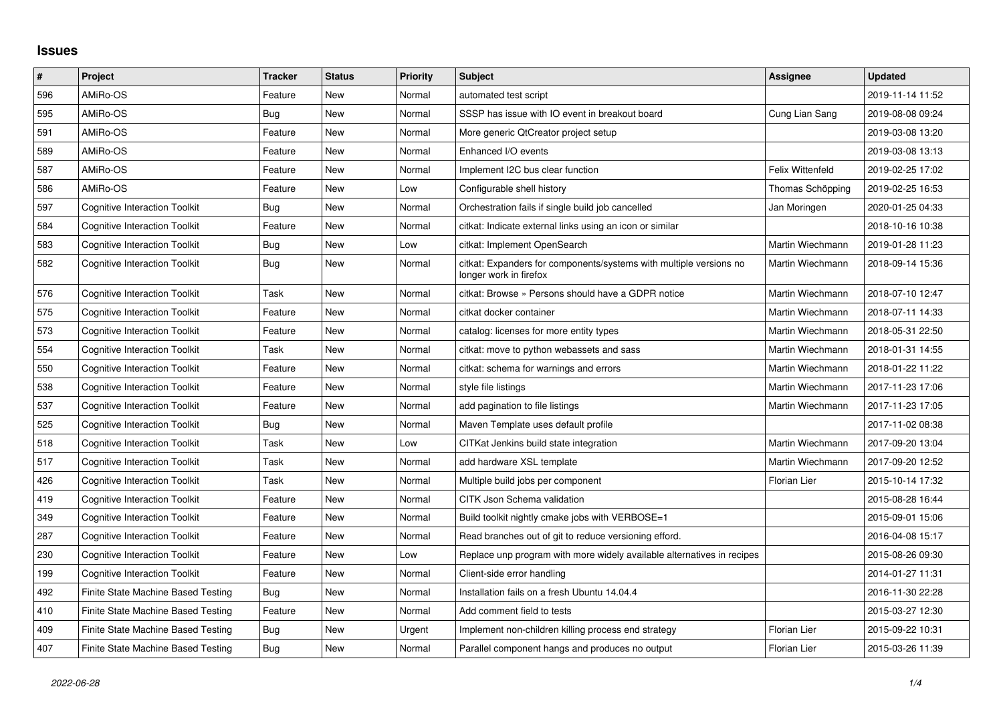## **Issues**

| $\#$ | Project                              | <b>Tracker</b> | <b>Status</b> | <b>Priority</b> | Subject                                                                                      | Assignee                | <b>Updated</b>   |
|------|--------------------------------------|----------------|---------------|-----------------|----------------------------------------------------------------------------------------------|-------------------------|------------------|
| 596  | AMiRo-OS                             | Feature        | <b>New</b>    | Normal          | automated test script                                                                        |                         | 2019-11-14 11:52 |
| 595  | AMiRo-OS                             | Bug            | <b>New</b>    | Normal          | SSSP has issue with IO event in breakout board                                               | Cung Lian Sang          | 2019-08-08 09:24 |
| 591  | AMiRo-OS                             | Feature        | New           | Normal          | More generic QtCreator project setup                                                         |                         | 2019-03-08 13:20 |
| 589  | AMiRo-OS                             | Feature        | <b>New</b>    | Normal          | Enhanced I/O events                                                                          |                         | 2019-03-08 13:13 |
| 587  | AMiRo-OS                             | Feature        | <b>New</b>    | Normal          | Implement I2C bus clear function                                                             | <b>Felix Wittenfeld</b> | 2019-02-25 17:02 |
| 586  | AMiRo-OS                             | Feature        | <b>New</b>    | Low             | Configurable shell history                                                                   | Thomas Schöpping        | 2019-02-25 16:53 |
| 597  | <b>Cognitive Interaction Toolkit</b> | Bug            | New           | Normal          | Orchestration fails if single build job cancelled                                            | Jan Moringen            | 2020-01-25 04:33 |
| 584  | <b>Cognitive Interaction Toolkit</b> | Feature        | New           | Normal          | citkat: Indicate external links using an icon or similar                                     |                         | 2018-10-16 10:38 |
| 583  | <b>Cognitive Interaction Toolkit</b> | Bug            | New           | Low             | citkat: Implement OpenSearch                                                                 | Martin Wiechmann        | 2019-01-28 11:23 |
| 582  | <b>Cognitive Interaction Toolkit</b> | Bug            | New           | Normal          | citkat: Expanders for components/systems with multiple versions no<br>longer work in firefox | Martin Wiechmann        | 2018-09-14 15:36 |
| 576  | <b>Cognitive Interaction Toolkit</b> | Task           | New           | Normal          | citkat: Browse » Persons should have a GDPR notice                                           | Martin Wiechmann        | 2018-07-10 12:47 |
| 575  | <b>Cognitive Interaction Toolkit</b> | Feature        | New           | Normal          | citkat docker container                                                                      | Martin Wiechmann        | 2018-07-11 14:33 |
| 573  | <b>Cognitive Interaction Toolkit</b> | Feature        | <b>New</b>    | Normal          | catalog: licenses for more entity types                                                      | Martin Wiechmann        | 2018-05-31 22:50 |
| 554  | <b>Cognitive Interaction Toolkit</b> | Task           | New           | Normal          | citkat: move to python webassets and sass                                                    | Martin Wiechmann        | 2018-01-31 14:55 |
| 550  | <b>Cognitive Interaction Toolkit</b> | Feature        | New           | Normal          | citkat: schema for warnings and errors                                                       | Martin Wiechmann        | 2018-01-22 11:22 |
| 538  | <b>Cognitive Interaction Toolkit</b> | Feature        | New           | Normal          | style file listings                                                                          | Martin Wiechmann        | 2017-11-23 17:06 |
| 537  | <b>Cognitive Interaction Toolkit</b> | Feature        | <b>New</b>    | Normal          | add pagination to file listings                                                              | Martin Wiechmann        | 2017-11-23 17:05 |
| 525  | <b>Cognitive Interaction Toolkit</b> | Bug            | New           | Normal          | Maven Template uses default profile                                                          |                         | 2017-11-02 08:38 |
| 518  | <b>Cognitive Interaction Toolkit</b> | Task           | New           | Low             | CITKat Jenkins build state integration                                                       | Martin Wiechmann        | 2017-09-20 13:04 |
| 517  | <b>Cognitive Interaction Toolkit</b> | Task           | New           | Normal          | add hardware XSL template                                                                    | Martin Wiechmann        | 2017-09-20 12:52 |
| 426  | <b>Cognitive Interaction Toolkit</b> | Task           | <b>New</b>    | Normal          | Multiple build jobs per component                                                            | <b>Florian Lier</b>     | 2015-10-14 17:32 |
| 419  | <b>Cognitive Interaction Toolkit</b> | Feature        | New           | Normal          | CITK Json Schema validation                                                                  |                         | 2015-08-28 16:44 |
| 349  | <b>Cognitive Interaction Toolkit</b> | Feature        | New           | Normal          | Build toolkit nightly cmake jobs with VERBOSE=1                                              |                         | 2015-09-01 15:06 |
| 287  | <b>Cognitive Interaction Toolkit</b> | Feature        | <b>New</b>    | Normal          | Read branches out of git to reduce versioning efford.                                        |                         | 2016-04-08 15:17 |
| 230  | <b>Cognitive Interaction Toolkit</b> | Feature        | New           | Low             | Replace unp program with more widely available alternatives in recipes                       |                         | 2015-08-26 09:30 |
| 199  | <b>Cognitive Interaction Toolkit</b> | Feature        | New           | Normal          | Client-side error handling                                                                   |                         | 2014-01-27 11:31 |
| 492  | Finite State Machine Based Testing   | Bug            | <b>New</b>    | Normal          | Installation fails on a fresh Ubuntu 14.04.4                                                 |                         | 2016-11-30 22:28 |
| 410  | Finite State Machine Based Testing   | Feature        | New           | Normal          | Add comment field to tests                                                                   |                         | 2015-03-27 12:30 |
| 409  | Finite State Machine Based Testing   | Bug            | <b>New</b>    | Urgent          | Implement non-children killing process end strategy                                          | Florian Lier            | 2015-09-22 10:31 |
| 407  | Finite State Machine Based Testing   | Bug            | New           | Normal          | Parallel component hangs and produces no output                                              | Florian Lier            | 2015-03-26 11:39 |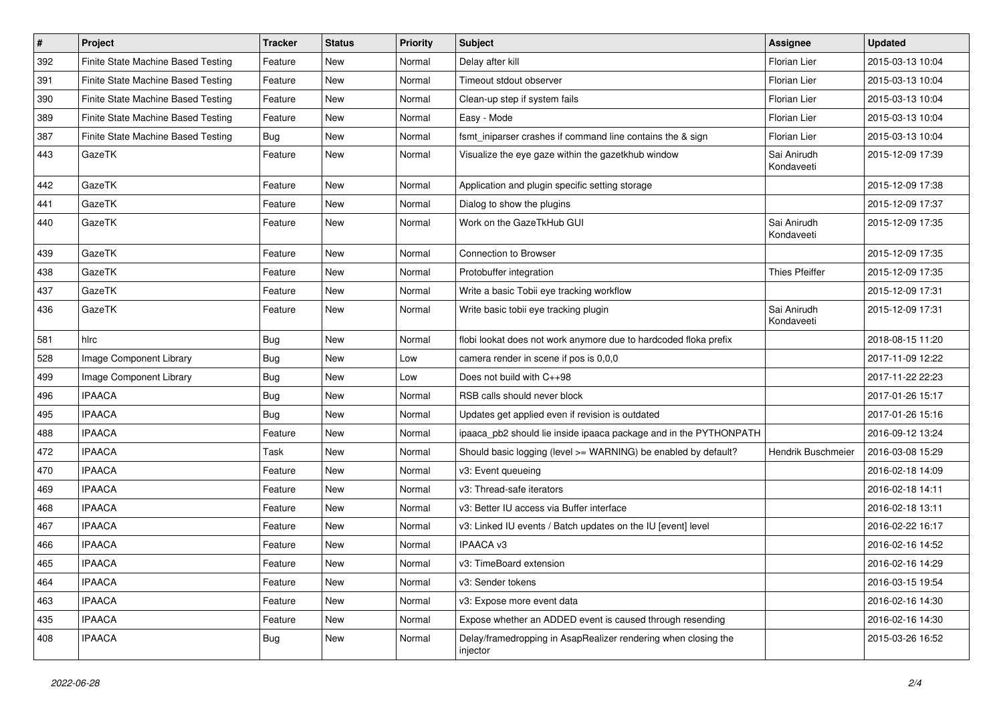| #   | Project                            | <b>Tracker</b> | <b>Status</b> | <b>Priority</b> | Subject                                                                    | Assignee                  | <b>Updated</b>   |
|-----|------------------------------------|----------------|---------------|-----------------|----------------------------------------------------------------------------|---------------------------|------------------|
| 392 | Finite State Machine Based Testing | Feature        | New           | Normal          | Delay after kill                                                           | Florian Lier              | 2015-03-13 10:04 |
| 391 | Finite State Machine Based Testing | Feature        | <b>New</b>    | Normal          | Timeout stdout observer                                                    | Florian Lier              | 2015-03-13 10:04 |
| 390 | Finite State Machine Based Testing | Feature        | New           | Normal          | Clean-up step if system fails                                              | Florian Lier              | 2015-03-13 10:04 |
| 389 | Finite State Machine Based Testing | Feature        | New           | Normal          | Easy - Mode                                                                | <b>Florian Lier</b>       | 2015-03-13 10:04 |
| 387 | Finite State Machine Based Testing | Bug            | <b>New</b>    | Normal          | fsmt_iniparser crashes if command line contains the & sign                 | Florian Lier              | 2015-03-13 10:04 |
| 443 | GazeTK                             | Feature        | New           | Normal          | Visualize the eye gaze within the gazetkhub window                         | Sai Anirudh<br>Kondaveeti | 2015-12-09 17:39 |
| 442 | GazeTK                             | Feature        | <b>New</b>    | Normal          | Application and plugin specific setting storage                            |                           | 2015-12-09 17:38 |
| 441 | GazeTK                             | Feature        | <b>New</b>    | Normal          | Dialog to show the plugins                                                 |                           | 2015-12-09 17:37 |
| 440 | GazeTK                             | Feature        | New           | Normal          | Work on the GazeTkHub GUI                                                  | Sai Anirudh<br>Kondaveeti | 2015-12-09 17:35 |
| 439 | GazeTK                             | Feature        | <b>New</b>    | Normal          | Connection to Browser                                                      |                           | 2015-12-09 17:35 |
| 438 | GazeTK                             | Feature        | <b>New</b>    | Normal          | Protobuffer integration                                                    | Thies Pfeiffer            | 2015-12-09 17:35 |
| 437 | GazeTK                             | Feature        | New           | Normal          | Write a basic Tobii eye tracking workflow                                  |                           | 2015-12-09 17:31 |
| 436 | GazeTK                             | Feature        | New           | Normal          | Write basic tobii eye tracking plugin                                      | Sai Anirudh<br>Kondaveeti | 2015-12-09 17:31 |
| 581 | hlrc                               | Bug            | <b>New</b>    | Normal          | flobi lookat does not work anymore due to hardcoded floka prefix           |                           | 2018-08-15 11:20 |
| 528 | Image Component Library            | Bug            | <b>New</b>    | Low             | camera render in scene if pos is 0,0,0                                     |                           | 2017-11-09 12:22 |
| 499 | Image Component Library            | <b>Bug</b>     | New           | Low             | Does not build with C++98                                                  |                           | 2017-11-22 22:23 |
| 496 | <b>IPAACA</b>                      | <b>Bug</b>     | New           | Normal          | RSB calls should never block                                               |                           | 2017-01-26 15:17 |
| 495 | <b>IPAACA</b>                      | Bug            | <b>New</b>    | Normal          | Updates get applied even if revision is outdated                           |                           | 2017-01-26 15:16 |
| 488 | <b>IPAACA</b>                      | Feature        | <b>New</b>    | Normal          | ipaaca_pb2 should lie inside ipaaca package and in the PYTHONPATH          |                           | 2016-09-12 13:24 |
| 472 | <b>IPAACA</b>                      | Task           | <b>New</b>    | Normal          | Should basic logging (level >= WARNING) be enabled by default?             | Hendrik Buschmeier        | 2016-03-08 15:29 |
| 470 | <b>IPAACA</b>                      | Feature        | New           | Normal          | v3: Event queueing                                                         |                           | 2016-02-18 14:09 |
| 469 | <b>IPAACA</b>                      | Feature        | <b>New</b>    | Normal          | v3: Thread-safe iterators                                                  |                           | 2016-02-18 14:11 |
| 468 | <b>IPAACA</b>                      | Feature        | <b>New</b>    | Normal          | v3: Better IU access via Buffer interface                                  |                           | 2016-02-18 13:11 |
| 467 | <b>IPAACA</b>                      | Feature        | New           | Normal          | v3: Linked IU events / Batch updates on the IU [event] level               |                           | 2016-02-22 16:17 |
| 466 | <b>IPAACA</b>                      | Feature        | New           | Normal          | IPAACA v3                                                                  |                           | 2016-02-16 14:52 |
| 465 | <b>IPAACA</b>                      | Feature        | New           | Normal          | v3: TimeBoard extension                                                    |                           | 2016-02-16 14:29 |
| 464 | <b>IPAACA</b>                      | Feature        | New           | Normal          | v3: Sender tokens                                                          |                           | 2016-03-15 19:54 |
| 463 | <b>IPAACA</b>                      | Feature        | New           | Normal          | v3: Expose more event data                                                 |                           | 2016-02-16 14:30 |
| 435 | <b>IPAACA</b>                      | Feature        | New           | Normal          | Expose whether an ADDED event is caused through resending                  |                           | 2016-02-16 14:30 |
| 408 | <b>IPAACA</b>                      | Bug            | New           | Normal          | Delay/framedropping in AsapRealizer rendering when closing the<br>injector |                           | 2015-03-26 16:52 |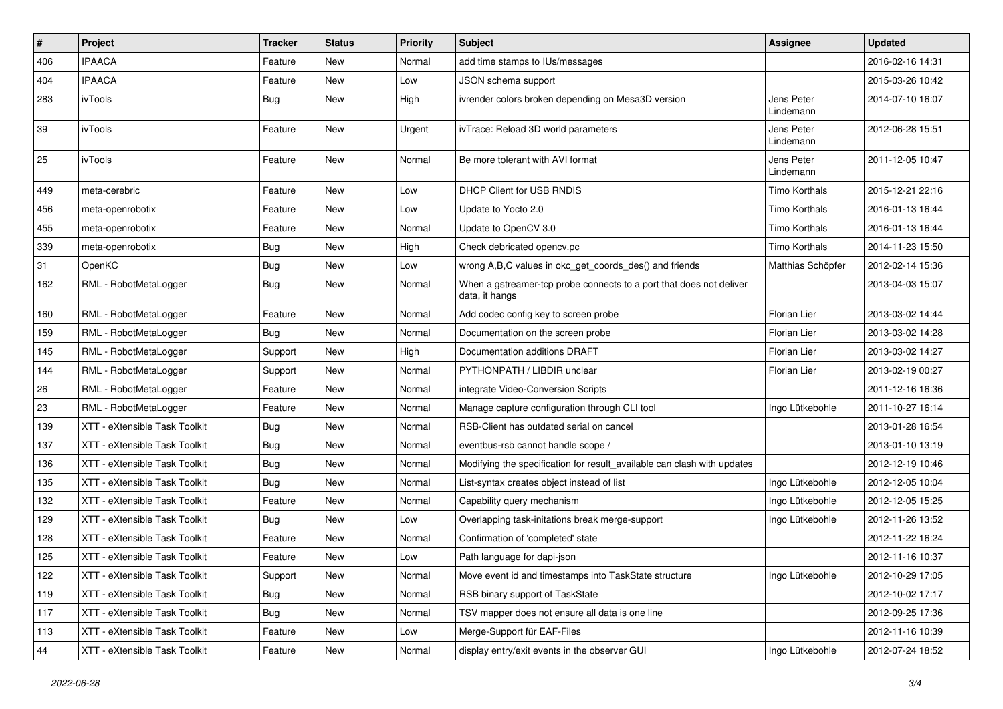| #   | Project                       | <b>Tracker</b> | <b>Status</b> | <b>Priority</b> | Subject                                                                               | Assignee                | <b>Updated</b>   |
|-----|-------------------------------|----------------|---------------|-----------------|---------------------------------------------------------------------------------------|-------------------------|------------------|
| 406 | <b>IPAACA</b>                 | Feature        | New           | Normal          | add time stamps to IUs/messages                                                       |                         | 2016-02-16 14:31 |
| 404 | <b>IPAACA</b>                 | Feature        | <b>New</b>    | Low             | JSON schema support                                                                   |                         | 2015-03-26 10:42 |
| 283 | ivTools                       | Bug            | New           | High            | ivrender colors broken depending on Mesa3D version                                    | Jens Peter<br>Lindemann | 2014-07-10 16:07 |
| 39  | ivTools                       | Feature        | New           | Urgent          | ivTrace: Reload 3D world parameters                                                   | Jens Peter<br>Lindemann | 2012-06-28 15:51 |
| 25  | ivTools                       | Feature        | <b>New</b>    | Normal          | Be more tolerant with AVI format                                                      | Jens Peter<br>Lindemann | 2011-12-05 10:47 |
| 449 | meta-cerebric                 | Feature        | <b>New</b>    | Low             | <b>DHCP Client for USB RNDIS</b>                                                      | <b>Timo Korthals</b>    | 2015-12-21 22:16 |
| 456 | meta-openrobotix              | Feature        | <b>New</b>    | Low             | Update to Yocto 2.0                                                                   | Timo Korthals           | 2016-01-13 16:44 |
| 455 | meta-openrobotix              | Feature        | New           | Normal          | Update to OpenCV 3.0                                                                  | <b>Timo Korthals</b>    | 2016-01-13 16:44 |
| 339 | meta-openrobotix              | Bug            | <b>New</b>    | High            | Check debricated opency.pc                                                            | <b>Timo Korthals</b>    | 2014-11-23 15:50 |
| 31  | OpenKC                        | Bug            | <b>New</b>    | Low             | wrong A,B,C values in okc_get_coords_des() and friends                                | Matthias Schöpfer       | 2012-02-14 15:36 |
| 162 | RML - RobotMetaLogger         | <b>Bug</b>     | New           | Normal          | When a gstreamer-tcp probe connects to a port that does not deliver<br>data, it hangs |                         | 2013-04-03 15:07 |
| 160 | RML - RobotMetaLogger         | Feature        | <b>New</b>    | Normal          | Add codec config key to screen probe                                                  | Florian Lier            | 2013-03-02 14:44 |
| 159 | RML - RobotMetaLogger         | Bug            | <b>New</b>    | Normal          | Documentation on the screen probe                                                     | Florian Lier            | 2013-03-02 14:28 |
| 145 | RML - RobotMetaLogger         | Support        | <b>New</b>    | High            | Documentation additions DRAFT                                                         | <b>Florian Lier</b>     | 2013-03-02 14:27 |
| 144 | RML - RobotMetaLogger         | Support        | New           | Normal          | PYTHONPATH / LIBDIR unclear                                                           | Florian Lier            | 2013-02-19 00:27 |
| 26  | RML - RobotMetaLogger         | Feature        | New           | Normal          | integrate Video-Conversion Scripts                                                    |                         | 2011-12-16 16:36 |
| 23  | RML - RobotMetaLogger         | Feature        | <b>New</b>    | Normal          | Manage capture configuration through CLI tool                                         | Ingo Lütkebohle         | 2011-10-27 16:14 |
| 139 | XTT - eXtensible Task Toolkit | Bug            | New           | Normal          | RSB-Client has outdated serial on cancel                                              |                         | 2013-01-28 16:54 |
| 137 | XTT - eXtensible Task Toolkit | Bug            | <b>New</b>    | Normal          | eventbus-rsb cannot handle scope /                                                    |                         | 2013-01-10 13:19 |
| 136 | XTT - eXtensible Task Toolkit | Bug            | New           | Normal          | Modifying the specification for result_available can clash with updates               |                         | 2012-12-19 10:46 |
| 135 | XTT - eXtensible Task Toolkit | Bug            | <b>New</b>    | Normal          | List-syntax creates object instead of list                                            | Ingo Lütkebohle         | 2012-12-05 10:04 |
| 132 | XTT - eXtensible Task Toolkit | Feature        | <b>New</b>    | Normal          | Capability query mechanism                                                            | Ingo Lütkebohle         | 2012-12-05 15:25 |
| 129 | XTT - eXtensible Task Toolkit | Bug            | New           | Low             | Overlapping task-initations break merge-support                                       | Ingo Lütkebohle         | 2012-11-26 13:52 |
| 128 | XTT - eXtensible Task Toolkit | Feature        | <b>New</b>    | Normal          | Confirmation of 'completed' state                                                     |                         | 2012-11-22 16:24 |
| 125 | XTT - eXtensible Task Toolkit | Feature        | New           | Low             | Path language for dapi-json                                                           |                         | 2012-11-16 10:37 |
| 122 | XTT - eXtensible Task Toolkit | Support        | New           | Normal          | Move event id and timestamps into TaskState structure                                 | Ingo Lütkebohle         | 2012-10-29 17:05 |
| 119 | XTT - eXtensible Task Toolkit | Bug            | New           | Normal          | RSB binary support of TaskState                                                       |                         | 2012-10-02 17:17 |
| 117 | XTT - eXtensible Task Toolkit | <b>Bug</b>     | New           | Normal          | TSV mapper does not ensure all data is one line                                       |                         | 2012-09-25 17:36 |
| 113 | XTT - eXtensible Task Toolkit | Feature        | New           | Low             | Merge-Support für EAF-Files                                                           |                         | 2012-11-16 10:39 |
| 44  | XTT - eXtensible Task Toolkit | Feature        | New           | Normal          | display entry/exit events in the observer GUI                                         | Ingo Lütkebohle         | 2012-07-24 18:52 |